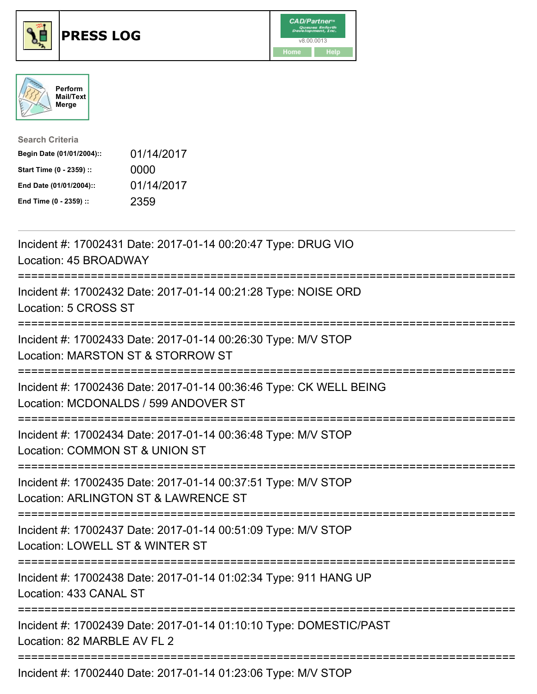





| <b>Search Criteria</b>    |            |
|---------------------------|------------|
| Begin Date (01/01/2004):: | 01/14/2017 |
| Start Time (0 - 2359) ::  | 0000       |
| End Date (01/01/2004)::   | 01/14/2017 |
| End Time (0 - 2359) ::    | 2359       |

| Incident #: 17002431 Date: 2017-01-14 00:20:47 Type: DRUG VIO<br>Location: 45 BROADWAY                                                                                           |
|----------------------------------------------------------------------------------------------------------------------------------------------------------------------------------|
| Incident #: 17002432 Date: 2017-01-14 00:21:28 Type: NOISE ORD<br>Location: 5 CROSS ST<br>:====================<br>============================                                  |
| Incident #: 17002433 Date: 2017-01-14 00:26:30 Type: M/V STOP<br>Location: MARSTON ST & STORROW ST                                                                               |
| Incident #: 17002436 Date: 2017-01-14 00:36:46 Type: CK WELL BEING<br>Location: MCDONALDS / 599 ANDOVER ST<br>--------------------------------------<br>======================== |
| Incident #: 17002434 Date: 2017-01-14 00:36:48 Type: M/V STOP<br>Location: COMMON ST & UNION ST<br>:================<br>========================                                 |
| Incident #: 17002435 Date: 2017-01-14 00:37:51 Type: M/V STOP<br>Location: ARLINGTON ST & LAWRENCE ST<br>----------------------<br>=============================                 |
| Incident #: 17002437 Date: 2017-01-14 00:51:09 Type: M/V STOP<br>Location: LOWELL ST & WINTER ST                                                                                 |
| Incident #: 17002438 Date: 2017-01-14 01:02:34 Type: 911 HANG UP<br>Location: 433 CANAL ST                                                                                       |
| Incident #: 17002439 Date: 2017-01-14 01:10:10 Type: DOMESTIC/PAST<br>Location: 82 MARBLE AV FL 2                                                                                |
| Incident #: 17002440 Date: 2017-01-14 01:23:06 Type: M/V STOP                                                                                                                    |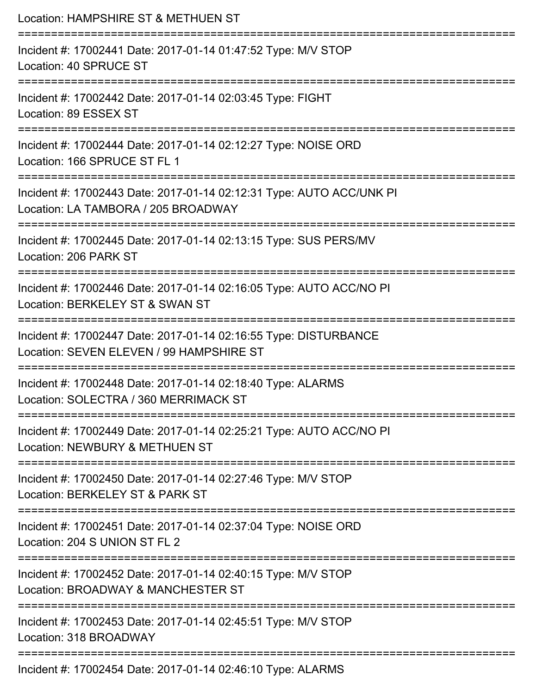| Location: HAMPSHIRE ST & METHUEN ST                                                                                   |
|-----------------------------------------------------------------------------------------------------------------------|
| Incident #: 17002441 Date: 2017-01-14 01:47:52 Type: M/V STOP<br>Location: 40 SPRUCE ST                               |
| Incident #: 17002442 Date: 2017-01-14 02:03:45 Type: FIGHT<br>Location: 89 ESSEX ST                                   |
| Incident #: 17002444 Date: 2017-01-14 02:12:27 Type: NOISE ORD<br>Location: 166 SPRUCE ST FL 1<br>------------------- |
| Incident #: 17002443 Date: 2017-01-14 02:12:31 Type: AUTO ACC/UNK PI<br>Location: LA TAMBORA / 205 BROADWAY           |
| Incident #: 17002445 Date: 2017-01-14 02:13:15 Type: SUS PERS/MV<br>Location: 206 PARK ST                             |
| Incident #: 17002446 Date: 2017-01-14 02:16:05 Type: AUTO ACC/NO PI<br>Location: BERKELEY ST & SWAN ST                |
| Incident #: 17002447 Date: 2017-01-14 02:16:55 Type: DISTURBANCE<br>Location: SEVEN ELEVEN / 99 HAMPSHIRE ST          |
| Incident #: 17002448 Date: 2017-01-14 02:18:40 Type: ALARMS<br>Location: SOLECTRA / 360 MERRIMACK ST                  |
| Incident #: 17002449 Date: 2017-01-14 02:25:21 Type: AUTO ACC/NO PI<br>Location: NEWBURY & METHUEN ST                 |
| Incident #: 17002450 Date: 2017-01-14 02:27:46 Type: M/V STOP<br>Location: BERKELEY ST & PARK ST                      |
| Incident #: 17002451 Date: 2017-01-14 02:37:04 Type: NOISE ORD<br>Location: 204 S UNION ST FL 2                       |
| Incident #: 17002452 Date: 2017-01-14 02:40:15 Type: M/V STOP<br>Location: BROADWAY & MANCHESTER ST                   |
| Incident #: 17002453 Date: 2017-01-14 02:45:51 Type: M/V STOP<br>Location: 318 BROADWAY                               |
| Incident #: 17002454 Date: 2017-01-14 02:46:10 Type: ALAPMS                                                           |

Incident #: 17002454 Date: 2017-01-14 02:46:10 Type: ALARMS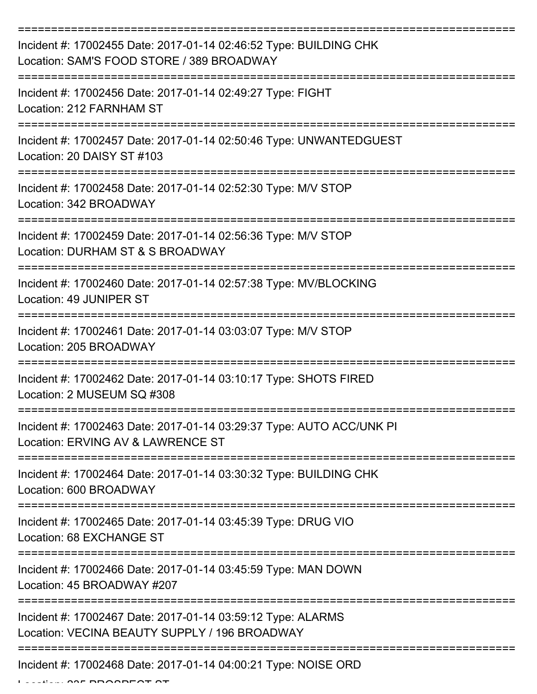| Incident #: 17002455 Date: 2017-01-14 02:46:52 Type: BUILDING CHK<br>Location: SAM'S FOOD STORE / 389 BROADWAY |
|----------------------------------------------------------------------------------------------------------------|
| Incident #: 17002456 Date: 2017-01-14 02:49:27 Type: FIGHT<br>Location: 212 FARNHAM ST                         |
| Incident #: 17002457 Date: 2017-01-14 02:50:46 Type: UNWANTEDGUEST<br>Location: 20 DAISY ST #103               |
| Incident #: 17002458 Date: 2017-01-14 02:52:30 Type: M/V STOP<br>Location: 342 BROADWAY                        |
| Incident #: 17002459 Date: 2017-01-14 02:56:36 Type: M/V STOP<br>Location: DURHAM ST & S BROADWAY              |
| Incident #: 17002460 Date: 2017-01-14 02:57:38 Type: MV/BLOCKING<br>Location: 49 JUNIPER ST                    |
| Incident #: 17002461 Date: 2017-01-14 03:03:07 Type: M/V STOP<br>Location: 205 BROADWAY                        |
| Incident #: 17002462 Date: 2017-01-14 03:10:17 Type: SHOTS FIRED<br>Location: 2 MUSEUM SQ #308                 |
| Incident #: 17002463 Date: 2017-01-14 03:29:37 Type: AUTO ACC/UNK PI<br>Location: ERVING AV & LAWRENCE ST      |
| Incident #: 17002464 Date: 2017-01-14 03:30:32 Type: BUILDING CHK<br>Location: 600 BROADWAY                    |
| Incident #: 17002465 Date: 2017-01-14 03:45:39 Type: DRUG VIO<br>Location: 68 EXCHANGE ST                      |
| Incident #: 17002466 Date: 2017-01-14 03:45:59 Type: MAN DOWN<br>Location: 45 BROADWAY #207                    |
| Incident #: 17002467 Date: 2017-01-14 03:59:12 Type: ALARMS<br>Location: VECINA BEAUTY SUPPLY / 196 BROADWAY   |
| Incident #: 17002468 Date: 2017-01-14 04:00:21 Type: NOISE ORD                                                 |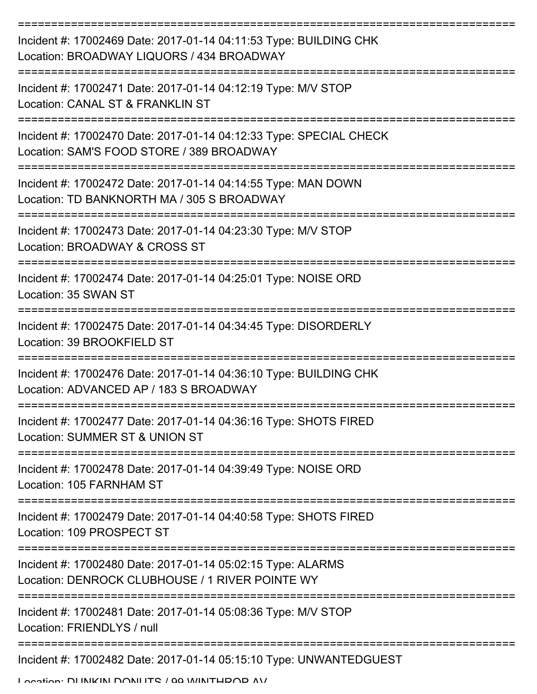| Incident #: 17002469 Date: 2017-01-14 04:11:53 Type: BUILDING CHK<br>Location: BROADWAY LIQUORS / 434 BROADWAY  |
|-----------------------------------------------------------------------------------------------------------------|
| Incident #: 17002471 Date: 2017-01-14 04:12:19 Type: M/V STOP<br>Location: CANAL ST & FRANKLIN ST               |
| Incident #: 17002470 Date: 2017-01-14 04:12:33 Type: SPECIAL CHECK<br>Location: SAM'S FOOD STORE / 389 BROADWAY |
| Incident #: 17002472 Date: 2017-01-14 04:14:55 Type: MAN DOWN<br>Location: TD BANKNORTH MA / 305 S BROADWAY     |
| Incident #: 17002473 Date: 2017-01-14 04:23:30 Type: M/V STOP<br>Location: BROADWAY & CROSS ST                  |
| Incident #: 17002474 Date: 2017-01-14 04:25:01 Type: NOISE ORD<br>Location: 35 SWAN ST                          |
| Incident #: 17002475 Date: 2017-01-14 04:34:45 Type: DISORDERLY<br>Location: 39 BROOKFIELD ST                   |
| Incident #: 17002476 Date: 2017-01-14 04:36:10 Type: BUILDING CHK<br>Location: ADVANCED AP / 183 S BROADWAY     |
| Incident #: 17002477 Date: 2017-01-14 04:36:16 Type: SHOTS FIRED<br>Location: SUMMER ST & UNION ST              |
| Incident #: 17002478 Date: 2017-01-14 04:39:49 Type: NOISE ORD<br>Location: 105 FARNHAM ST                      |
| Incident #: 17002479 Date: 2017-01-14 04:40:58 Type: SHOTS FIRED<br>Location: 109 PROSPECT ST                   |
| Incident #: 17002480 Date: 2017-01-14 05:02:15 Type: ALARMS<br>Location: DENROCK CLUBHOUSE / 1 RIVER POINTE WY  |
| Incident #: 17002481 Date: 2017-01-14 05:08:36 Type: M/V STOP<br>Location: FRIENDLYS / null                     |
| Incident #: 17002482 Date: 2017-01-14 05:15:10 Type: UNWANTEDGUEST                                              |

Location: DUNIKIN DONILITS / 99 WINTHDOD AV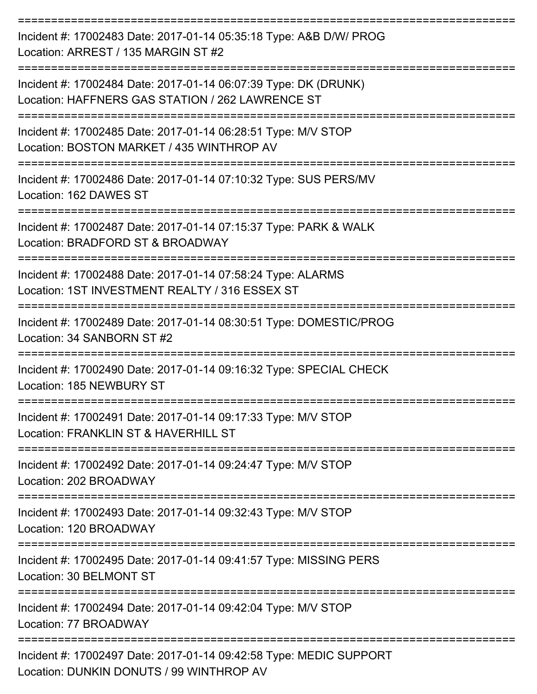| Incident #: 17002483 Date: 2017-01-14 05:35:18 Type: A&B D/W/ PROG<br>Location: ARREST / 135 MARGIN ST #2           |
|---------------------------------------------------------------------------------------------------------------------|
| Incident #: 17002484 Date: 2017-01-14 06:07:39 Type: DK (DRUNK)<br>Location: HAFFNERS GAS STATION / 262 LAWRENCE ST |
| Incident #: 17002485 Date: 2017-01-14 06:28:51 Type: M/V STOP<br>Location: BOSTON MARKET / 435 WINTHROP AV          |
| Incident #: 17002486 Date: 2017-01-14 07:10:32 Type: SUS PERS/MV<br>Location: 162 DAWES ST                          |
| Incident #: 17002487 Date: 2017-01-14 07:15:37 Type: PARK & WALK<br>Location: BRADFORD ST & BROADWAY                |
| Incident #: 17002488 Date: 2017-01-14 07:58:24 Type: ALARMS<br>Location: 1ST INVESTMENT REALTY / 316 ESSEX ST       |
| Incident #: 17002489 Date: 2017-01-14 08:30:51 Type: DOMESTIC/PROG<br>Location: 34 SANBORN ST #2                    |
| Incident #: 17002490 Date: 2017-01-14 09:16:32 Type: SPECIAL CHECK<br>Location: 185 NEWBURY ST                      |
| Incident #: 17002491 Date: 2017-01-14 09:17:33 Type: M/V STOP<br>Location: FRANKLIN ST & HAVERHILL ST               |
| Incident #: 17002492 Date: 2017-01-14 09:24:47 Type: M/V STOP<br>Location: 202 BROADWAY                             |
| Incident #: 17002493 Date: 2017-01-14 09:32:43 Type: M/V STOP<br>Location: 120 BROADWAY                             |
| Incident #: 17002495 Date: 2017-01-14 09:41:57 Type: MISSING PERS<br>Location: 30 BELMONT ST                        |
| Incident #: 17002494 Date: 2017-01-14 09:42:04 Type: M/V STOP<br>Location: 77 BROADWAY                              |
| Incident #: 17002497 Date: 2017-01-14 09:42:58 Type: MEDIC SUPPORT<br>Location: DUNKIN DONUTS / 99 WINTHROP AV      |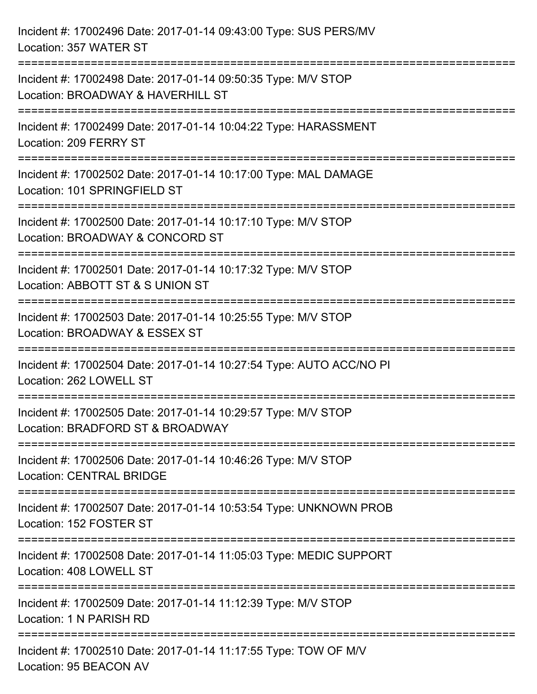| Incident #: 17002496 Date: 2017-01-14 09:43:00 Type: SUS PERS/MV<br>Location: 357 WATER ST                                           |
|--------------------------------------------------------------------------------------------------------------------------------------|
| :=============================<br>Incident #: 17002498 Date: 2017-01-14 09:50:35 Type: M/V STOP<br>Location: BROADWAY & HAVERHILL ST |
| Incident #: 17002499 Date: 2017-01-14 10:04:22 Type: HARASSMENT<br>Location: 209 FERRY ST<br>===========================             |
| Incident #: 17002502 Date: 2017-01-14 10:17:00 Type: MAL DAMAGE<br>Location: 101 SPRINGFIELD ST                                      |
| Incident #: 17002500 Date: 2017-01-14 10:17:10 Type: M/V STOP<br>Location: BROADWAY & CONCORD ST<br>=====================            |
| Incident #: 17002501 Date: 2017-01-14 10:17:32 Type: M/V STOP<br>Location: ABBOTT ST & S UNION ST                                    |
| Incident #: 17002503 Date: 2017-01-14 10:25:55 Type: M/V STOP<br>Location: BROADWAY & ESSEX ST                                       |
| Incident #: 17002504 Date: 2017-01-14 10:27:54 Type: AUTO ACC/NO PI<br>Location: 262 LOWELL ST                                       |
| Incident #: 17002505 Date: 2017-01-14 10:29:57 Type: M/V STOP<br>Location: BRADFORD ST & BROADWAY                                    |
| Incident #: 17002506 Date: 2017-01-14 10:46:26 Type: M/V STOP<br><b>Location: CENTRAL BRIDGE</b>                                     |
| Incident #: 17002507 Date: 2017-01-14 10:53:54 Type: UNKNOWN PROB<br>Location: 152 FOSTER ST                                         |
| Incident #: 17002508 Date: 2017-01-14 11:05:03 Type: MEDIC SUPPORT<br>Location: 408 LOWELL ST                                        |
| Incident #: 17002509 Date: 2017-01-14 11:12:39 Type: M/V STOP<br>Location: 1 N PARISH RD                                             |
| Incident #: 17002510 Date: 2017-01-14 11:17:55 Type: TOW OF M/V<br>Location: 95 BEACON AV                                            |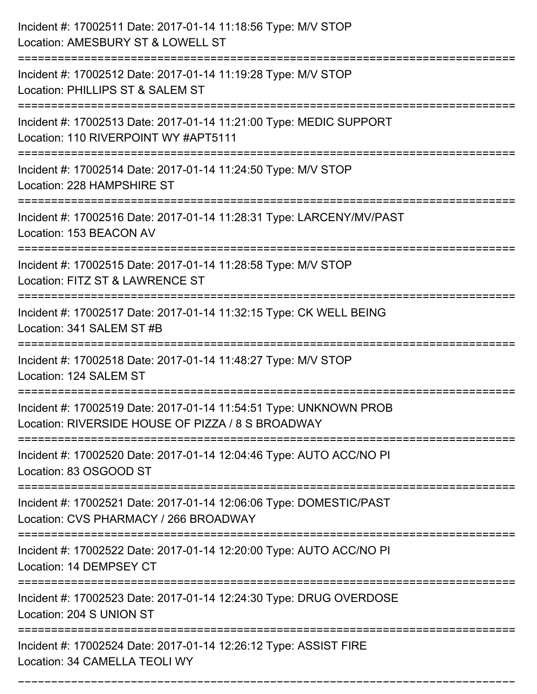| Incident #: 17002511 Date: 2017-01-14 11:18:56 Type: M/V STOP<br>Location: AMESBURY ST & LOWELL ST                                     |
|----------------------------------------------------------------------------------------------------------------------------------------|
| Incident #: 17002512 Date: 2017-01-14 11:19:28 Type: M/V STOP<br>Location: PHILLIPS ST & SALEM ST                                      |
| Incident #: 17002513 Date: 2017-01-14 11:21:00 Type: MEDIC SUPPORT<br>Location: 110 RIVERPOINT WY #APT5111<br>======================== |
| Incident #: 17002514 Date: 2017-01-14 11:24:50 Type: M/V STOP<br>Location: 228 HAMPSHIRE ST                                            |
| Incident #: 17002516 Date: 2017-01-14 11:28:31 Type: LARCENY/MV/PAST<br>Location: 153 BEACON AV<br>=================================== |
| Incident #: 17002515 Date: 2017-01-14 11:28:58 Type: M/V STOP<br>Location: FITZ ST & LAWRENCE ST<br>======================             |
| Incident #: 17002517 Date: 2017-01-14 11:32:15 Type: CK WELL BEING<br>Location: 341 SALEM ST #B                                        |
| Incident #: 17002518 Date: 2017-01-14 11:48:27 Type: M/V STOP<br>Location: 124 SALEM ST                                                |
| Incident #: 17002519 Date: 2017-01-14 11:54:51 Type: UNKNOWN PROB<br>Location: RIVERSIDE HOUSE OF PIZZA / 8 S BROADWAY                 |
| Incident #: 17002520 Date: 2017-01-14 12:04:46 Type: AUTO ACC/NO PI<br>Location: 83 OSGOOD ST                                          |
| Incident #: 17002521 Date: 2017-01-14 12:06:06 Type: DOMESTIC/PAST<br>Location: CVS PHARMACY / 266 BROADWAY                            |
| Incident #: 17002522 Date: 2017-01-14 12:20:00 Type: AUTO ACC/NO PI<br>Location: 14 DEMPSEY CT                                         |
| Incident #: 17002523 Date: 2017-01-14 12:24:30 Type: DRUG OVERDOSE<br>Location: 204 S UNION ST                                         |
| Incident #: 17002524 Date: 2017-01-14 12:26:12 Type: ASSIST FIRE<br>Location: 34 CAMELLA TEOLI WY                                      |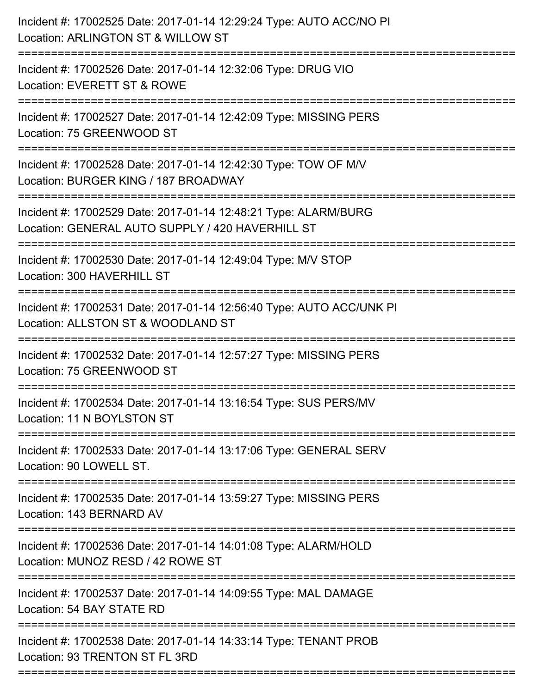| Incident #: 17002525 Date: 2017-01-14 12:29:24 Type: AUTO ACC/NO PI<br>Location: ARLINGTON ST & WILLOW ST<br>======================                                   |
|-----------------------------------------------------------------------------------------------------------------------------------------------------------------------|
| Incident #: 17002526 Date: 2017-01-14 12:32:06 Type: DRUG VIO<br>Location: EVERETT ST & ROWE                                                                          |
| Incident #: 17002527 Date: 2017-01-14 12:42:09 Type: MISSING PERS<br>Location: 75 GREENWOOD ST                                                                        |
| Incident #: 17002528 Date: 2017-01-14 12:42:30 Type: TOW OF M/V<br>Location: BURGER KING / 187 BROADWAY                                                               |
| Incident #: 17002529 Date: 2017-01-14 12:48:21 Type: ALARM/BURG<br>Location: GENERAL AUTO SUPPLY / 420 HAVERHILL ST<br>:======================<br>------------------- |
| Incident #: 17002530 Date: 2017-01-14 12:49:04 Type: M/V STOP<br>Location: 300 HAVERHILL ST                                                                           |
| Incident #: 17002531 Date: 2017-01-14 12:56:40 Type: AUTO ACC/UNK PI<br>Location: ALLSTON ST & WOODLAND ST                                                            |
| Incident #: 17002532 Date: 2017-01-14 12:57:27 Type: MISSING PERS<br>Location: 75 GREENWOOD ST                                                                        |
| Incident #: 17002534 Date: 2017-01-14 13:16:54 Type: SUS PERS/MV<br>Location: 11 N BOYLSTON ST                                                                        |
| Incident #: 17002533 Date: 2017-01-14 13:17:06 Type: GENERAL SERV<br>Location: 90 LOWELL ST.                                                                          |
| Incident #: 17002535 Date: 2017-01-14 13:59:27 Type: MISSING PERS<br>Location: 143 BERNARD AV                                                                         |
| Incident #: 17002536 Date: 2017-01-14 14:01:08 Type: ALARM/HOLD<br>Location: MUNOZ RESD / 42 ROWE ST                                                                  |
| Incident #: 17002537 Date: 2017-01-14 14:09:55 Type: MAL DAMAGE<br>Location: 54 BAY STATE RD                                                                          |
| Incident #: 17002538 Date: 2017-01-14 14:33:14 Type: TENANT PROB<br>Location: 93 TRENTON ST FL 3RD                                                                    |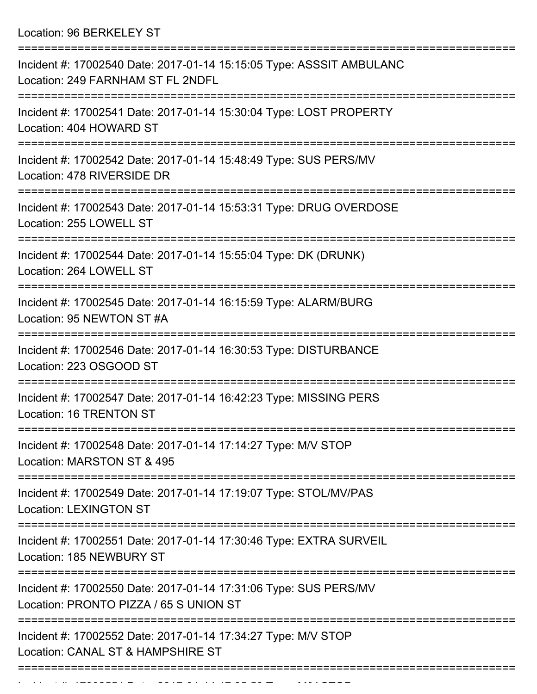Location: 96 BERKELEY ST

| Incident #: 17002540 Date: 2017-01-14 15:15:05 Type: ASSSIT AMBULANC<br>Location: 249 FARNHAM ST FL 2NDFL  |
|------------------------------------------------------------------------------------------------------------|
| Incident #: 17002541 Date: 2017-01-14 15:30:04 Type: LOST PROPERTY<br>Location: 404 HOWARD ST              |
| Incident #: 17002542 Date: 2017-01-14 15:48:49 Type: SUS PERS/MV<br>Location: 478 RIVERSIDE DR             |
| Incident #: 17002543 Date: 2017-01-14 15:53:31 Type: DRUG OVERDOSE<br>Location: 255 LOWELL ST              |
| Incident #: 17002544 Date: 2017-01-14 15:55:04 Type: DK (DRUNK)<br>Location: 264 LOWELL ST                 |
| Incident #: 17002545 Date: 2017-01-14 16:15:59 Type: ALARM/BURG<br>Location: 95 NEWTON ST #A               |
| Incident #: 17002546 Date: 2017-01-14 16:30:53 Type: DISTURBANCE<br>Location: 223 OSGOOD ST                |
| Incident #: 17002547 Date: 2017-01-14 16:42:23 Type: MISSING PERS<br>Location: 16 TRENTON ST               |
| Incident #: 17002548 Date: 2017-01-14 17:14:27 Type: M/V STOP<br>Location: MARSTON ST & 495                |
| Incident #: 17002549 Date: 2017-01-14 17:19:07 Type: STOL/MV/PAS<br><b>Location: LEXINGTON ST</b>          |
| Incident #: 17002551 Date: 2017-01-14 17:30:46 Type: EXTRA SURVEIL<br>Location: 185 NEWBURY ST             |
| Incident #: 17002550 Date: 2017-01-14 17:31:06 Type: SUS PERS/MV<br>Location: PRONTO PIZZA / 65 S UNION ST |
| Incident #: 17002552 Date: 2017-01-14 17:34:27 Type: M/V STOP<br>Location: CANAL ST & HAMPSHIRE ST         |
|                                                                                                            |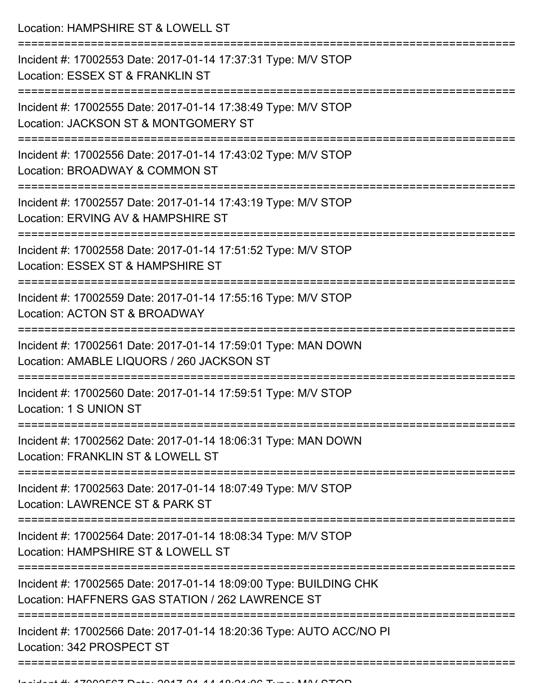Location: HAMPSHIRE ST & LOWELL ST

| Incident #: 17002553 Date: 2017-01-14 17:37:31 Type: M/V STOP<br>Location: ESSEX ST & FRANKLIN ST                     |
|-----------------------------------------------------------------------------------------------------------------------|
| Incident #: 17002555 Date: 2017-01-14 17:38:49 Type: M/V STOP<br>Location: JACKSON ST & MONTGOMERY ST                 |
| Incident #: 17002556 Date: 2017-01-14 17:43:02 Type: M/V STOP<br>Location: BROADWAY & COMMON ST                       |
| Incident #: 17002557 Date: 2017-01-14 17:43:19 Type: M/V STOP<br>Location: ERVING AV & HAMPSHIRE ST                   |
| Incident #: 17002558 Date: 2017-01-14 17:51:52 Type: M/V STOP<br>Location: ESSEX ST & HAMPSHIRE ST                    |
| Incident #: 17002559 Date: 2017-01-14 17:55:16 Type: M/V STOP<br>Location: ACTON ST & BROADWAY                        |
| Incident #: 17002561 Date: 2017-01-14 17:59:01 Type: MAN DOWN<br>Location: AMABLE LIQUORS / 260 JACKSON ST            |
| Incident #: 17002560 Date: 2017-01-14 17:59:51 Type: M/V STOP<br>Location: 1 S UNION ST                               |
| Incident #: 17002562 Date: 2017-01-14 18:06:31 Type: MAN DOWN<br>Location: FRANKLIN ST & LOWELL ST                    |
| Incident #: 17002563 Date: 2017-01-14 18:07:49 Type: M/V STOP<br>Location: LAWRENCE ST & PARK ST                      |
| Incident #: 17002564 Date: 2017-01-14 18:08:34 Type: M/V STOP<br>Location: HAMPSHIRE ST & LOWELL ST                   |
| Incident #: 17002565 Date: 2017-01-14 18:09:00 Type: BUILDING CHK<br>Location: HAFFNERS GAS STATION / 262 LAWRENCE ST |
| Incident #: 17002566 Date: 2017-01-14 18:20:36 Type: AUTO ACC/NO PI<br>Location: 342 PROSPECT ST                      |
|                                                                                                                       |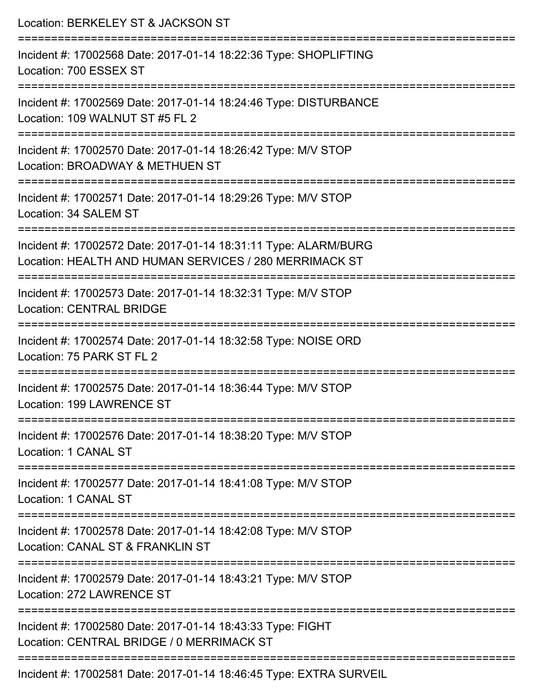| Location: BERKELEY ST & JACKSON ST                                                                                                                            |
|---------------------------------------------------------------------------------------------------------------------------------------------------------------|
| Incident #: 17002568 Date: 2017-01-14 18:22:36 Type: SHOPLIFTING<br>Location: 700 ESSEX ST                                                                    |
| Incident #: 17002569 Date: 2017-01-14 18:24:46 Type: DISTURBANCE<br>Location: 109 WALNUT ST #5 FL 2                                                           |
| Incident #: 17002570 Date: 2017-01-14 18:26:42 Type: M/V STOP<br>Location: BROADWAY & METHUEN ST                                                              |
| :=======================<br>Incident #: 17002571 Date: 2017-01-14 18:29:26 Type: M/V STOP<br>Location: 34 SALEM ST                                            |
| Incident #: 17002572 Date: 2017-01-14 18:31:11 Type: ALARM/BURG<br>Location: HEALTH AND HUMAN SERVICES / 280 MERRIMACK ST                                     |
| =====================================<br>================<br>Incident #: 17002573 Date: 2017-01-14 18:32:31 Type: M/V STOP<br><b>Location: CENTRAL BRIDGE</b> |
| Incident #: 17002574 Date: 2017-01-14 18:32:58 Type: NOISE ORD<br>Location: 75 PARK ST FL 2                                                                   |
| Incident #: 17002575 Date: 2017-01-14 18:36:44 Type: M/V STOP<br>Location: 199 LAWRENCE ST                                                                    |
| Incident #: 17002576 Date: 2017-01-14 18:38:20 Type: M/V STOP<br>Location: 1 CANAL ST                                                                         |
| Incident #: 17002577 Date: 2017-01-14 18:41:08 Type: M/V STOP<br>Location: 1 CANAL ST                                                                         |
| ---------------------------------<br>Incident #: 17002578 Date: 2017-01-14 18:42:08 Type: M/V STOP<br>Location: CANAL ST & FRANKLIN ST                        |
| Incident #: 17002579 Date: 2017-01-14 18:43:21 Type: M/V STOP<br>Location: 272 LAWRENCE ST                                                                    |
| Incident #: 17002580 Date: 2017-01-14 18:43:33 Type: FIGHT<br>Location: CENTRAL BRIDGE / 0 MERRIMACK ST                                                       |
| Incident #: 17002581 Date: 2017 01 14 19:46:45 Type: EVTDA CLIDVEIL                                                                                           |

Incident #: 17002581 Date: 2017-01-14 18:46:45 Type: EXTRA SURVEIL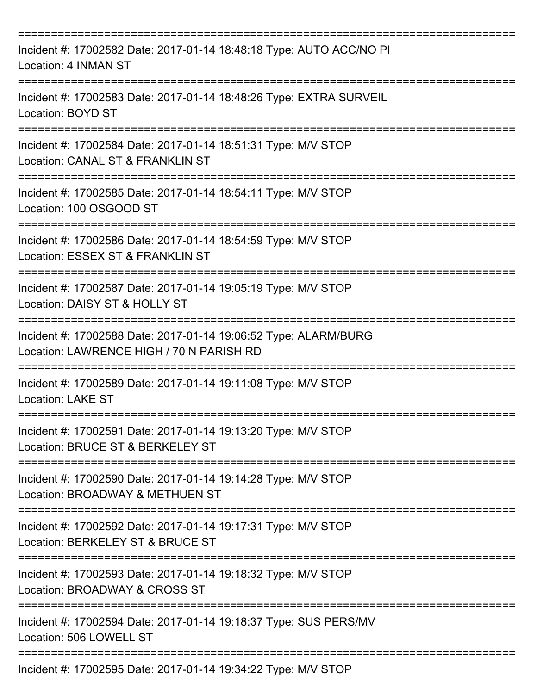| Incident #: 17002582 Date: 2017-01-14 18:48:18 Type: AUTO ACC/NO PI<br>Location: 4 INMAN ST                 |
|-------------------------------------------------------------------------------------------------------------|
| Incident #: 17002583 Date: 2017-01-14 18:48:26 Type: EXTRA SURVEIL<br>Location: BOYD ST                     |
| Incident #: 17002584 Date: 2017-01-14 18:51:31 Type: M/V STOP<br>Location: CANAL ST & FRANKLIN ST           |
| Incident #: 17002585 Date: 2017-01-14 18:54:11 Type: M/V STOP<br>Location: 100 OSGOOD ST                    |
| Incident #: 17002586 Date: 2017-01-14 18:54:59 Type: M/V STOP<br>Location: ESSEX ST & FRANKLIN ST           |
| Incident #: 17002587 Date: 2017-01-14 19:05:19 Type: M/V STOP<br>Location: DAISY ST & HOLLY ST              |
| Incident #: 17002588 Date: 2017-01-14 19:06:52 Type: ALARM/BURG<br>Location: LAWRENCE HIGH / 70 N PARISH RD |
| Incident #: 17002589 Date: 2017-01-14 19:11:08 Type: M/V STOP<br><b>Location: LAKE ST</b>                   |
| Incident #: 17002591 Date: 2017-01-14 19:13:20 Type: M/V STOP<br>Location: BRUCE ST & BERKELEY ST           |
| Incident #: 17002590 Date: 2017-01-14 19:14:28 Type: M/V STOP<br>Location: BROADWAY & METHUEN ST            |
| Incident #: 17002592 Date: 2017-01-14 19:17:31 Type: M/V STOP<br>Location: BERKELEY ST & BRUCE ST           |
| Incident #: 17002593 Date: 2017-01-14 19:18:32 Type: M/V STOP<br>Location: BROADWAY & CROSS ST              |
| Incident #: 17002594 Date: 2017-01-14 19:18:37 Type: SUS PERS/MV<br>Location: 506 LOWELL ST                 |
| Incident #: 17002595 Date: 2017-01-14 19:34:22 Type: M/V STOP                                               |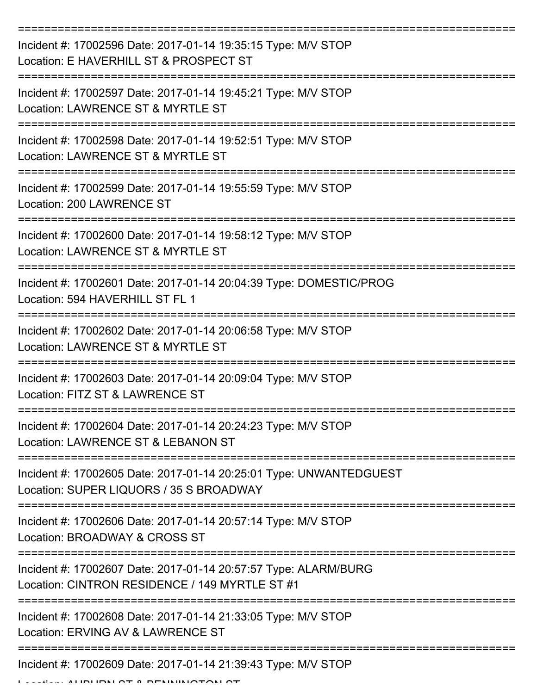| Incident #: 17002596 Date: 2017-01-14 19:35:15 Type: M/V STOP<br>Location: E HAVERHILL ST & PROSPECT ST           |
|-------------------------------------------------------------------------------------------------------------------|
| Incident #: 17002597 Date: 2017-01-14 19:45:21 Type: M/V STOP<br>Location: LAWRENCE ST & MYRTLE ST                |
| Incident #: 17002598 Date: 2017-01-14 19:52:51 Type: M/V STOP<br>Location: LAWRENCE ST & MYRTLE ST                |
| Incident #: 17002599 Date: 2017-01-14 19:55:59 Type: M/V STOP<br>Location: 200 LAWRENCE ST                        |
| Incident #: 17002600 Date: 2017-01-14 19:58:12 Type: M/V STOP<br>Location: LAWRENCE ST & MYRTLE ST                |
| Incident #: 17002601 Date: 2017-01-14 20:04:39 Type: DOMESTIC/PROG<br>Location: 594 HAVERHILL ST FL 1             |
| Incident #: 17002602 Date: 2017-01-14 20:06:58 Type: M/V STOP<br>Location: LAWRENCE ST & MYRTLE ST                |
| Incident #: 17002603 Date: 2017-01-14 20:09:04 Type: M/V STOP<br>Location: FITZ ST & LAWRENCE ST                  |
| Incident #: 17002604 Date: 2017-01-14 20:24:23 Type: M/V STOP<br>Location: LAWRENCE ST & LEBANON ST               |
| Incident #: 17002605 Date: 2017-01-14 20:25:01 Type: UNWANTEDGUEST<br>Location: SUPER LIQUORS / 35 S BROADWAY     |
| Incident #: 17002606 Date: 2017-01-14 20:57:14 Type: M/V STOP<br>Location: BROADWAY & CROSS ST                    |
| Incident #: 17002607 Date: 2017-01-14 20:57:57 Type: ALARM/BURG<br>Location: CINTRON RESIDENCE / 149 MYRTLE ST #1 |
| Incident #: 17002608 Date: 2017-01-14 21:33:05 Type: M/V STOP<br>Location: ERVING AV & LAWRENCE ST                |
| Incident #: 17002609 Date: 2017-01-14 21:39:43 Type: M/V STOP                                                     |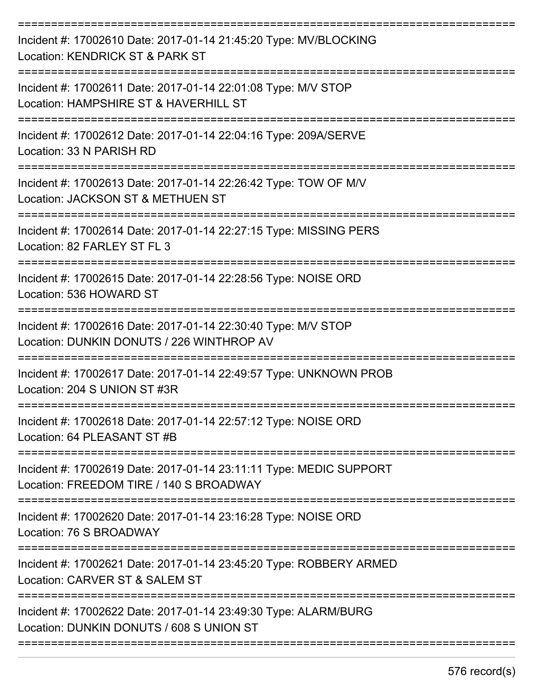| Incident #: 17002610 Date: 2017-01-14 21:45:20 Type: MV/BLOCKING<br>Location: KENDRICK ST & PARK ST           |
|---------------------------------------------------------------------------------------------------------------|
| Incident #: 17002611 Date: 2017-01-14 22:01:08 Type: M/V STOP<br>Location: HAMPSHIRE ST & HAVERHILL ST        |
| Incident #: 17002612 Date: 2017-01-14 22:04:16 Type: 209A/SERVE<br>Location: 33 N PARISH RD                   |
| Incident #: 17002613 Date: 2017-01-14 22:26:42 Type: TOW OF M/V<br>Location: JACKSON ST & METHUEN ST          |
| Incident #: 17002614 Date: 2017-01-14 22:27:15 Type: MISSING PERS<br>Location: 82 FARLEY ST FL 3              |
| Incident #: 17002615 Date: 2017-01-14 22:28:56 Type: NOISE ORD<br>Location: 536 HOWARD ST                     |
| Incident #: 17002616 Date: 2017-01-14 22:30:40 Type: M/V STOP<br>Location: DUNKIN DONUTS / 226 WINTHROP AV    |
| Incident #: 17002617 Date: 2017-01-14 22:49:57 Type: UNKNOWN PROB<br>Location: 204 S UNION ST #3R             |
| Incident #: 17002618 Date: 2017-01-14 22:57:12 Type: NOISE ORD<br>Location: 64 PLEASANT ST #B                 |
| Incident #: 17002619 Date: 2017-01-14 23:11:11 Type: MEDIC SUPPORT<br>Location: FREEDOM TIRE / 140 S BROADWAY |
| Incident #: 17002620 Date: 2017-01-14 23:16:28 Type: NOISE ORD<br>Location: 76 S BROADWAY                     |
| Incident #: 17002621 Date: 2017-01-14 23:45:20 Type: ROBBERY ARMED<br>Location: CARVER ST & SALEM ST          |
| Incident #: 17002622 Date: 2017-01-14 23:49:30 Type: ALARM/BURG<br>Location: DUNKIN DONUTS / 608 S UNION ST   |
|                                                                                                               |